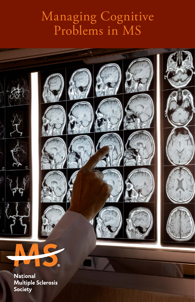### Managing Cognitive Problems in MS



**Multiple Sclerosis** Society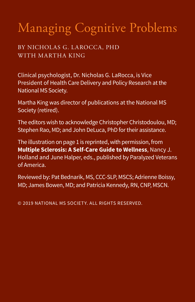# Managing Cognitive Problems

BY NICHOLAS G. LAROCCA, PHD WITH MARTHA KING

Clinical psychologist, Dr. Nicholas G. LaRocca, is Vice President of Health Care Delivery and Policy Research at the National MS Society.

Martha King was director of publications at the National MS Society (retired).

The editors wish to acknowledge Christopher Christodoulou, MD; Stephen Rao, MD; and John DeLuca, PhD for their assistance.

The illustration on page 1 is reprinted, with permission, from **Multiple Sclerosis: A Self-Care Guide to Wellness**, Nancy J. Holland and June Halper, eds., published by Paralyzed Veterans of America.

Reviewed by: Pat Bednarik, MS, CCC-SLP, MSCS; Adrienne Boissy, MD; James Bowen, MD; and Patricia Kennedy, RN, CNP, MSCN.

© 2019 NATIONAL MS SOCIETY. ALL RIGHTS RESERVED.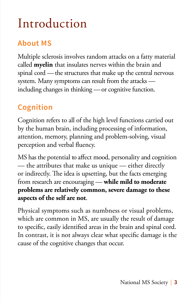### Introduction

### **About MS**

Multiple sclerosis involves random attacks on a fatty material called **myelin** that insulates nerves within the brain and spinal cord — the structures that make up the central nervous system. Many symptoms can result from the attacks including changes in thinking — or cognitive function.

### **Cognition**

Cognition refers to all of the high level functions carried out by the human brain, including processing of information, attention, memory, planning and problem-solving, visual perception and verbal fluency.

MS has the potential to affect mood, personality and cognition — the attributes that make us unique — either directly or indirectly. The idea is upsetting, but the facts emerging from research are encouraging — **while mild to moderate problems are relatively common, severe damage to these aspects of the self are not**.

Physical symptoms such as numbness or visual problems, which are common in MS, are usually the result of damage to specific, easily identified areas in the brain and spinal cord. In contrast, it is not always clear what specific damage is the cause of the cognitive changes that occur.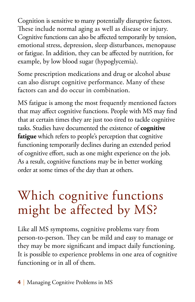Cognition is sensitive to many potentially disruptive factors. These include normal aging as well as disease or injury. Cognitive functions can also be affected temporarily by tension, emotional stress, depression, sleep disturbances, menopause or fatigue. In addition, they can be affected by nutrition, for example, by low blood sugar (hypoglycemia).

Some prescription medications and drug or alcohol abuse can also disrupt cognitive performance. Many of these factors can and do occur in combination.

MS fatigue is among the most frequently mentioned factors that may affect cognitive functions. People with MS may find that at certain times they are just too tired to tackle cognitive tasks. Studies have documented the existence of **cognitive fatigue** which refers to people's perception that cognitive functioning temporarily declines during an extended period of cognitive effort, such as one might experience on the job. As a result, cognitive functions may be in better working order at some times of the day than at others.

# Which cognitive functions might be affected by MS?

Like all MS symptoms, cognitive problems vary from person-to-person. They can be mild and easy to manage or they may be more significant and impact daily functioning. It is possible to experience problems in one area of cognitive functioning or in all of them.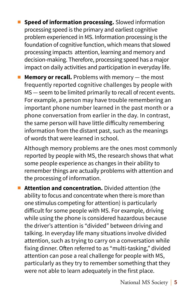- **n** Speed of information processing. Slowed information processing speed is the primary and earliest cognitive problem experienced in MS. Information processing is the foundation of cognitive function, which means that slowed processing impacts attention, learning and memory and decision-making. Therefore, processing speed has a major impact on daily activities and participation in everyday life.
- **n** Memory or recall. Problems with memory the most frequently reported cognitive challenges by people with MS — seem to be limited primarily to recall of recent events. For example, a person may have trouble remembering an important phone number learned in the past month or a phone conversation from earlier in the day. In contrast, the same person will have little difficulty remembering information from the distant past, such as the meanings of words that were learned in school.

Although memory problems are the ones most commonly reported by people with MS, the research shows that what some people experience as changes in their ability to remember things are actually problems with attention and the processing of information.

**n** Attention and concentration. Divided attention (the ability to focus and concentrate when there is more than one stimulus competing for attention) is particularly difficult for some people with MS. For example, driving while using the phone is considered hazardous because the driver's attention is "divided" between driving and talking. In everyday life many situations involve divided attention, such as trying to carry on a conversation while fixing dinner. Often referred to as "multi-tasking," divided attention can pose a real challenge for people with MS, particularly as they try to remember something that they were not able to learn adequately in the first place.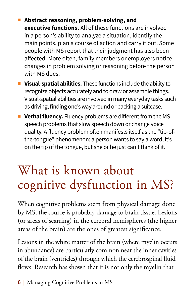- Abstract reasoning, problem-solving, and **executive functions.** All of these functions are involved in a person's ability to analyze a situation, identify the main points, plan a course of action and carry it out. Some people with MS report that their judgment has also been affected. More often, family members or employers notice changes in problem solving or reasoning before the person with MS does.
- **n** Visual-spatial abilities. These functions include the ability to recognize objects accurately and to draw or assemble things. Visual-spatial abilities are involved in many everyday tasks such as driving, finding one's way around or packing a suitcase.
- **Norbal fluency.** Fluency problems are different from the MS speech problems that slow speech down or change voice quality. A fluency problem often manifests itself as the "tip-ofthe-tongue" phenomenon: a person wants to say a word, it's on the tip of the tongue, but she or he just can't think of it.

# What is known about cognitive dysfunction in MS?

When cognitive problems stem from physical damage done by MS, the source is probably damage to brain tissue. Lesions (or areas of scarring) in the cerebral hemispheres (the higher areas of the brain) are the ones of greatest significance.

Lesions in the white matter of the brain (where myelin occurs in abundance) are particularly common near the inner cavities of the brain (ventricles) through which the cerebrospinal fluid flows. Research has shown that it is not only the myelin that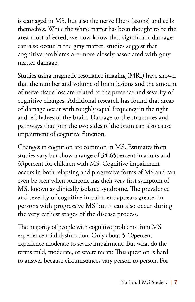is damaged in MS, but also the nerve fibers (axons) and cells themselves. While the white matter has been thought to be the area most affected, we now know that significant damage can also occur in the gray matter; studies suggest that cognitive problems are more closely associated with gray matter damage.

Studies using magnetic resonance imaging (MRI) have shown that the number and volume of brain lesions and the amount of nerve tissue loss are related to the presence and severity of cognitive changes. Additional research has found that areas of damage occur with roughly equal frequency in the right and left halves of the brain. Damage to the structures and pathways that join the two sides of the brain can also cause impairment of cognitive function.

Changes in cognition are common in MS. Estimates from studies vary but show a range of 34-65percent in adults and 33percent for children with MS. Cognitive impairment occurs in both relapsing and progressive forms of MS and can even be seen when someone has their very first symptom of MS, known as clinically isolated syndrome. The prevalence and severity of cognitive impairment appears greater in persons with progressive MS but it can also occur during the very earliest stages of the disease process.

The majority of people with cognitive problems from MS experience mild dysfunction. Only about 5-10percent experience moderate to severe impairment. But what do the terms mild, moderate, or severe mean? This question is hard to answer because circumstances vary person-to-person. For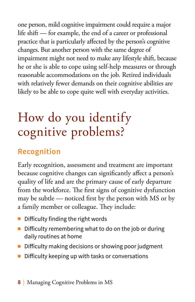one person, mild cognitive impairment could require a major life shift — for example, the end of a career or professional practice that is particularly affected by the person's cognitive changes. But another person with the same degree of impairment might not need to make any lifestyle shift, because he or she is able to cope using self-help measures or through reasonable accommodations on the job. Retired individuals with relatively fewer demands on their cognitive abilities are likely to be able to cope quite well with everyday activities.

### How do you identify cognitive problems?

### **Recognition**

Early recognition, assessment and treatment are important because cognitive changes can significantly affect a person's quality of life and are the primary cause of early departure from the workforce. The first signs of cognitive dysfunction may be subtle — noticed first by the person with MS or by a family member or colleague. They include:

- $\blacksquare$  Difficulty finding the right words
- Difficulty remembering what to do on the job or during daily routines at home
- $\blacksquare$  Difficulty making decisions or showing poor judgment
- $\blacksquare$  Difficulty keeping up with tasks or conversations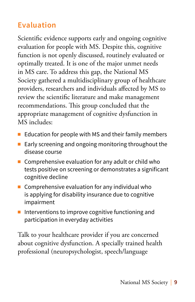### **Evaluation**

Scientific evidence supports early and ongoing cognitive evaluation for people with MS. Despite this, cognitive function is not openly discussed, routinely evaluated or optimally treated. It is one of the major unmet needs in MS care. To address this gap, the National MS Society gathered a multidisciplinary group of healthcare providers, researchers and individuals affected by MS to review the scientific literature and make management recommendations. This group concluded that the appropriate management of cognitive dysfunction in MS includes:

- Education for people with MS and their family members
- Early screening and ongoing monitoring throughout the disease course
- $\blacksquare$  Comprehensive evaluation for any adult or child who tests positive on screening or demonstrates a significant cognitive decline
- $\blacksquare$  Comprehensive evaluation for any individual who is applying for disability insurance due to cognitive impairment
- $\blacksquare$  Interventions to improve cognitive functioning and participation in everyday activities

Talk to your healthcare provider if you are concerned about cognitive dysfunction. A specially trained health professional (neuropsychologist, speech/language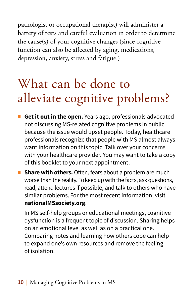pathologist or occupational therapist) will administer a battery of tests and careful evaluation in order to determine the cause(s) of your cognitive changes (since cognitive function can also be affected by aging, medications, depression, anxiety, stress and fatigue.)

# What can be done to alleviate cognitive problems?

- **Get it out in the open.** Years ago, professionals advocated not discussing MS-related cognitive problems in public because the issue would upset people. Today, healthcare professionals recognize that people with MS almost always want information on this topic. Talk over your concerns with your healthcare provider. You may want to take a copy of this booklet to your next appointment.
- **F** Share with others. Often, fears about a problem are much worse than the reality. To keep up with the facts, ask questions, read, attend lectures if possible, and talk to others who have similar problems. For the most recent information, visit **nationalMSsociety.org**.

In MS self-help groups or educational meetings, cognitive dysfunction is a frequent topic of discussion. Sharing helps on an emotional level as well as on a practical one. Comparing notes and learning how others cope can help to expand one's own resources and remove the feeling of isolation.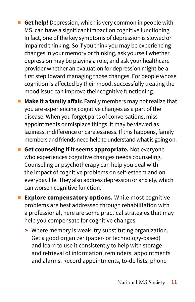- **Get help!** Depression, which is very common in people with MS, can have a significant impact on cognitive functioning. In fact, one of the key symptoms of depression is slowed or impaired thinking. So if you think you may be experiencing changes in your memory or thinking, ask yourself whether depression may be playing a role, and ask your healthcare provider whether an evaluation for depression might be a first step toward managing those changes. For people whose cognition is affected by their mood, successfully treating the mood issue can improve their cognitive functioning.
- **n** Make it a family affair. Family members may not realize that you are experiencing cognitive changes as a part of the disease. When you forget parts of conversations, miss appointments or misplace things, it may be viewed as laziness, indifference or carelessness. If this happens, family members and friends need help to understand what is going on.
- **E** Get counseling if it seems appropriate. Not everyone who experiences cognitive changes needs counseling. Counseling or psychotherapy can help you deal with the impact of cognitive problems on self-esteem and on everyday life. They also address depression or anxiety, which can worsen cognitive function.
- **Explore compensatory options.** While most cognitive problems are best addressed through rehabilitation with a professional, here are some practical strategies that may help you compensate for cognitive changes:
	- **>** Where memory is weak, try substituting organization. Get a good organizer (paper- or technology-based) and learn to use it consistently to help with storage and retrieval of information, reminders, appointments and alarms. Record appointments, to-do lists, phone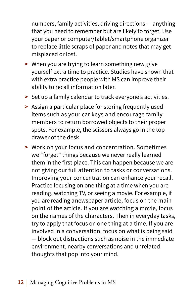numbers, family activities, driving directions — anything that you need to remember but are likely to forget. Use your paper or computer/tablet/smartphone organizer to replace little scraps of paper and notes that may get misplaced or lost.

- **>** When you are trying to learn something new, give yourself extra time to practice. Studies have shown that with extra practice people with MS can improve their ability to recall information later.
- **>** Set up a family calendar to track everyone's activities.
- **>** Assign a particular place for storing frequently used items such as your car keys and encourage family members to return borrowed objects to their proper spots. For example, the scissors always go in the top drawer of the desk.
- **>** Work on your focus and concentration. Sometimes we "forget" things because we never really learned them in the first place. This can happen because we are not giving our full attention to tasks or conversations. Improving your concentration can enhance your recall. Practice focusing on one thing at a time when you are reading, watching TV, or seeing a movie. For example, if you are reading a newspaper article, focus on the main point of the article. If you are watching a movie, focus on the names of the characters. Then in everyday tasks, try to apply that focus on one thing at a time. If you are involved in a conversation, focus on what is being said — block out distractions such as noise in the immediate environment, nearby conversations and unrelated thoughts that pop into your mind.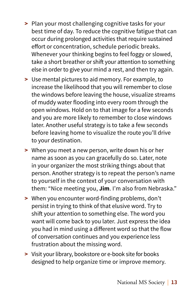- **>** Plan your most challenging cognitive tasks for your best time of day. To reduce the cognitive fatigue that can occur during prolonged activities that require sustained effort or concentration, schedule periodic breaks. Whenever your thinking begins to feel foggy or slowed, take a short breather or shift your attention to something else in order to give your mind a rest, and then try again.
- **>** Use mental pictures to aid memory. For example, to increase the likelihood that you will remember to close the windows before leaving the house, visualize streams of muddy water flooding into every room through the open windows. Hold on to that image for a few seconds and you are more likely to remember to close windows later. Another useful strategy is to take a few seconds before leaving home to visualize the route you'll drive to your destination.
- **>** When you meet a new person, write down his or her name as soon as you can gracefully do so. Later, note in your organizer the most striking things about that person. Another strategy is to repeat the person's name to yourself in the context of your conversation with them: "Nice meeting you, **Jim**. I'm also from Nebraska."
- **>** When you encounter word-finding problems, don't persist in trying to think of that elusive word. Try to shift your attention to something else. The word you want will come back to you later. Just express the idea you had in mind using a different word so that the flow of conversation continues and you experience less frustration about the missing word.
- **>** Visit your library, bookstore or e-book site for books designed to help organize time or improve memory.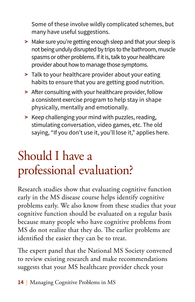Some of these involve wildly complicated schemes, but many have useful suggestions.

- **>** Make sure you're getting enough sleep and that your sleep is not being unduly disrupted by trips to the bathroom, muscle spasms or other problems. If it is, talk to your healthcare provider about how to manage those symptoms.
- **>** Talk to your healthcare provider about your eating habits to ensure that you are getting good nutrition.
- **>** After consulting with your healthcare provider, follow a consistent exercise program to help stay in shape physically, mentally and emotionally.
- **>** Keep challenging your mind with puzzles, reading, stimulating conversation, video games, etc. The old saying, "If you don't use it, you'll lose it," applies here.

# Should I have a professional evaluation?

Research studies show that evaluating cognitive function early in the MS disease course helps identify cognitive problems early. We also know from these studies that your cognitive function should be evaluated on a regular basis because many people who have cognitive problems from MS do not realize that they do. The earlier problems are identified the easier they can be to treat.

The expert panel that the National MS Society convened to review existing research and make recommendations suggests that your MS healthcare provider check your

**14** | Managing Cognitive Problems in MS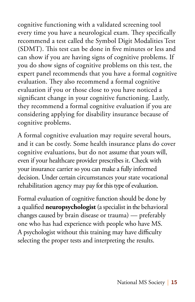cognitive functioning with a validated screening tool every time you have a neurological exam. They specifically recommend a test called the Symbol Digit Modalities Test (SDMT). This test can be done in five minutes or less and can show if you are having signs of cognitive problems. If you do show signs of cognitive problems on this test, the expert panel recommends that you have a formal cognitive evaluation. They also recommend a formal cognitive evaluation if you or those close to you have noticed a significant change in your cognitive functioning. Lastly, they recommend a formal cognitive evaluation if you are considering applying for disability insurance because of cognitive problems.

A formal cognitive evaluation may require several hours, and it can be costly. Some health insurance plans do cover cognitive evaluations, but do not assume that yours will, even if your healthcare provider prescribes it. Check with your insurance carrier so you can make a fully informed decision. Under certain circumstances your state vocational rehabilitation agency may pay for this type of evaluation.

Formal evaluation of cognitive function should be done by a qualified **neuropsychologist** (a specialist in the behavioral changes caused by brain disease or trauma) — preferably one who has had experience with people who have MS. A psychologist without this training may have difficulty selecting the proper tests and interpreting the results.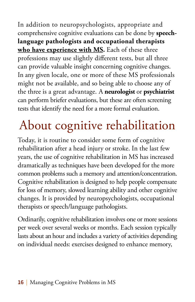In addition to neuropsychologists, appropriate and comprehensive cognitive evaluations can be done by **speechlanguage pathologists and occupational therapists who have experience with MS.** Each of these three professions may use slightly different tests, but all three can provide valuable insight concerning cognitive changes. In any given locale, one or more of these MS professionals might not be available, and so being able to choose any of the three is a great advantage. A **neurologist** or **psychiatrist** can perform briefer evaluations, but these are often screening tests that identify the need for a more formal evaluation.

# About cognitive rehabilitation

Today, it is routine to consider some form of cognitive rehabilitation after a head injury or stroke. In the last few years, the use of cognitive rehabilitation in MS has increased dramatically as techniques have been developed for the more common problems such a memory and attention/concentration. Cognitive rehabilitation is designed to help people compensate for loss of memory, slowed learning ability and other cognitive changes. It is provided by neuropsychologists, occupational therapists or speech/language pathologists.

Ordinarily, cognitive rehabilitation involves one or more sessions per week over several weeks or months. Each session typically lasts about an hour and includes a variety of activities depending on individual needs: exercises designed to enhance memory,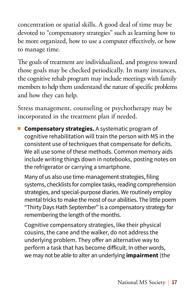concentration or spatial skills. A good deal of time may be devoted to "compensatory strategies" such as learning how to be more organized, how to use a computer effectively, or how to manage time.

The goals of treatment are individualized, and progress toward those goals may be checked periodically. In many instances, the cognitive rehab program may include meetings with family members to help them understand the nature of specific problems and how they can help.

Stress management, counseling or psychotherapy may be incorporated in the treatment plan if needed.

**n Compensatory strategies.** A systematic program of cognitive rehabilitation will train the person with MS in the consistent use of techniques that compensate for deficits. We all use some of these methods. Common memory aids include writing things down in notebooks, posting notes on the refrigerator or carrying a smartphone.

Many of us also use time-management strategies, filing systems, checklists for complex tasks, reading comprehension strategies, and special-purpose diaries. We routinely employ mental tricks to make the most of our abilities. The little poem "Thirty Days Hath September" is a compensatory strategy for remembering the length of the months.

Cognitive compensatory strategies, like their physical cousins, the cane and the walker, do not address the underlying problem. They offer an alternative way to perform a task that has become difficult. In other words, we may not be able to alter an underlying **impairment** (the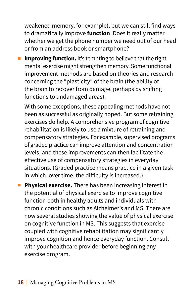weakened memory, for example), but we can still find ways to dramatically improve **function**. Does it really matter whether we get the phone number we need out of our head or from an address book or smartphone?

**n Improving function.** It's tempting to believe that the right mental exercise might strengthen memory. Some functional improvement methods are based on theories and research concerning the "plasticity" of the brain (the ability of the brain to recover from damage, perhaps by shifting functions to undamaged areas).

With some exceptions, these appealing methods have not been as successful as originally hoped. But some retraining exercises do help. A comprehensive program of cognitive rehabilitation is likely to use a mixture of retraining and compensatory strategies. For example, supervised programs of graded practice can improve attention and concentration levels, and these improvements can then facilitate the effective use of compensatory strategies in everyday situations. (Graded practice means practice in a given task in which, over time, the difficulty is increased.)

**Physical exercise.** There has been increasing interest in the potential of physical exercise to improve cognitive function both in healthy adults and individuals with chronic conditions such as Alzheimer's and MS. There are now several studies showing the value of physical exercise on cognitive function in MS. This suggests that exercise coupled with cognitive rehabilitation may significantly improve cognition and hence everyday function. Consult with your healthcare provider before beginning any exercise program.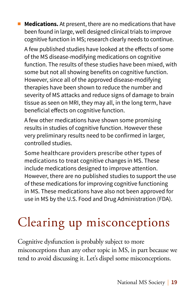**n** Medications. At present, there are no medications that have been found in large, well designed clinical trials to improve cognitive function in MS; research clearly needs to continue.

A few published studies have looked at the effects of some of the MS disease-modifying medications on cognitive function. The results of these studies have been mixed, with some but not all showing benefits on cognitive function. However, since all of the approved disease-modifying therapies have been shown to reduce the number and severity of MS attacks and reduce signs of damage to brain tissue as seen on MRI, they may all, in the long term, have beneficial effects on cognitive function.

A few other medications have shown some promising results in studies of cognitive function. However these very preliminary results need to be confirmed in larger, controlled studies.

Some healthcare providers prescribe other types of medications to treat cognitive changes in MS. These include medications designed to improve attention. However, there are no published studies to support the use of these medications for improving cognitive functioning in MS. These medications have also not been approved for use in MS by the U.S. Food and Drug Administration (FDA).

# Clearing up misconceptions

Cognitive dysfunction is probably subject to more misconceptions than any other topic in MS, in part because we tend to avoid discussing it. Let's dispel some misconceptions.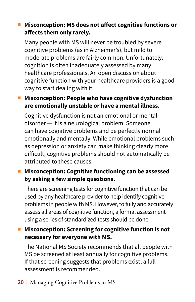### ■ Misconception: MS does not affect cognitive functions or **affects them only rarely.**

Many people with MS will never be troubled by severe cognitive problems (as in Alzheimer's), but mild to moderate problems are fairly common. Unfortunately, cognition is often inadequately assessed by many healthcare professionals. An open discussion about cognitive function with your healthcare providers is a good way to start dealing with it.

#### ■ Misconception: People who have cognitive dysfunction **are emotionally unstable or have a mental illness.**

Cognitive dysfunction is not an emotional or mental disorder — it is a neurological problem. Someone can have cognitive problems and be perfectly normal emotionally and mentally. While emotional problems such as depression or anxiety can make thinking clearly more difficult, cognitive problems should not automatically be attributed to these causes.

#### ■ Misconception: Cognitive functioning can be assessed **by asking a few simple questions.**

There are screening tests for cognitive function that can be used by any healthcare provider to help identify cognitive problems in people with MS. However, to fully and accurately assess all areas of cognitive function, a formal assessment using a series of standardized tests should be done.

#### ■ Misconception: Screening for cognitive function is not **necessary for everyone with MS.**

The National MS Society recommends that all people with MS be screened at least annually for cognitive problems. If that screening suggests that problems exist, a full assessment is recommended.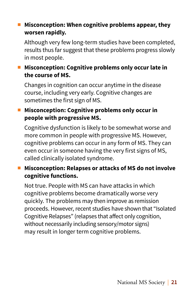### ■ Misconception: When cognitive problems appear, they **worsen rapidly.**

Although very few long-term studies have been completed, results thus far suggest that these problems progress slowly in most people.

#### ■ Misconception: Cognitive problems only occur late in **the course of MS.**

Changes in cognition can occur anytime in the disease course, including very early. Cognitive changes are sometimes the first sign of MS.

#### ■ Misconception: Cognitive problems only occur in **people with progressive MS.**

Cognitive dysfunction is likely to be somewhat worse and more common in people with progressive MS. However, cognitive problems can occur in any form of MS. They can even occur in someone having the very first signs of MS, called clinically isolated syndrome.

### ■ Misconception: Relapses or attacks of MS do not involve **cognitive functions.**

Not true. People with MS can have attacks in which cognitive problems become dramatically worse very quickly. The problems may then improve as remission proceeds. However, recent studies have shown that "Isolated Cognitive Relapses" (relapses that affect only cognition, without necessarily including sensory/motor signs) may result in longer term cognitive problems.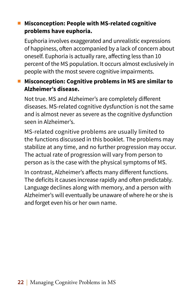#### ■ Misconception: People with MS-related cognitive **problems have euphoria.**

Euphoria involves exaggerated and unrealistic expressions of happiness, often accompanied by a lack of concern about oneself. Euphoria is actually rare, affecting less than 10 percent of the MS population. It occurs almost exclusively in people with the most severe cognitive impairments.

### ■ Misconception: Cognitive problems in MS are similar to **Alzheimer's disease.**

Not true. MS and Alzheimer's are completely different diseases. MS-related cognitive dysfunction is not the same and is almost never as severe as the cognitive dysfunction seen in Alzheimer's.

MS-related cognitive problems are usually limited to the functions discussed in this booklet. The problems may stabilize at any time, and no further progression may occur. The actual rate of progression will vary from person to person as is the case with the physical symptoms of MS.

In contrast, Alzheimer's affects many different functions. The deficits it causes increase rapidly and often predictably. Language declines along with memory, and a person with Alzheimer's will eventually be unaware of where he or she is and forget even his or her own name.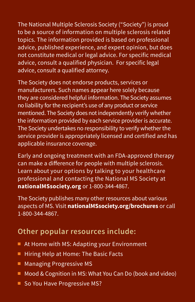The National Multiple Sclerosis Society ("Society") is proud to be a source of information on multiple sclerosis related topics. The information provided is based on professional advice, published experience, and expert opinion, but does not constitute medical or legal advice. For specific medical advice, consult a qualified physician. For specific legal advice, consult a qualified attorney.

The Society does not endorse products, services or manufacturers. Such names appear here solely because they are considered helpful information. The Society assumes no liability for the recipient's use of any product or service mentioned. The Society does not independently verify whether the information provided by each service provider is accurate. The Society undertakes no responsibility to verify whether the service provider is appropriately licensed and certified and has applicable insurance coverage.

Early and ongoing treatment with an FDA-approved therapy can make a difference for people with multiple sclerosis. Learn about your options by talking to your healthcare professional and contacting the National MS Society at **nationalMSsociety.org** or 1-800-344-4867.

The Society publishes many other resources about various aspects of MS. Visit **nationalMSsociety.org/brochures** or call 1-800-344-4867.

### **Other popular resources include:**

- At Home with MS: Adapting your Environment
- $\blacksquare$  Hiring Help at Home: The Basic Facts
- **Managing Progressive MS**
- $\blacksquare$  Mood & Cognition in MS: What You Can Do (book and video)
- So You Have Progressive MS?